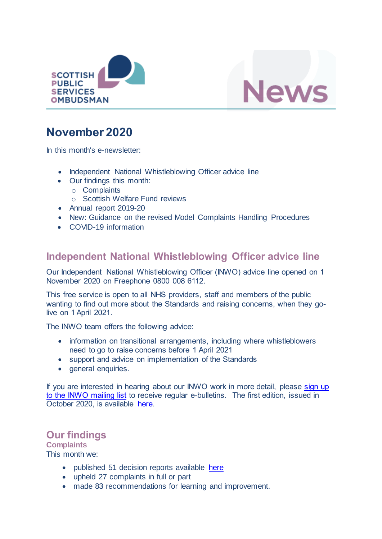



# **November 2020**

In this month's e-newsletter:

- Independent National Whistleblowing Officer advice line
- Our findings this month:
	- o Complaints
	- o Scottish Welfare Fund reviews
- Annual report 2019-20
- New: Guidance on the revised Model Complaints Handling Procedures
- COVID-19 information

### **Independent National Whistleblowing Officer advice line**

Our Independent National Whistleblowing Officer (INWO) advice line opened on 1 November 2020 on Freephone 0800 008 6112.

This free service is open to all NHS providers, staff and members of the public wanting to find out more about the Standards and raising concerns, when they golive on 1 April 2021.

The INWO team offers the following advice:

- information on transitional arrangements, including where whistleblowers need to go to raise concerns before 1 April 2021
- support and advice on implementation of the Standards
- general enquiries.

If you are interested in hearing about our INWO work in more detail, please sign up [to the INWO mailing list](http://eepurl.com/hga995) to receive regular e-bulletins. The first edition, issued in October 2020, is available [here.](https://mailchi.mp/78e35598c448/bulletin-from-the-spso-october-2020)

# **Our findings**

**Complaints** This month we:

- published 51 decision reports available [here](https://www.spso.org.uk/our-findings)
- upheld 27 complaints in full or part
- made 83 recommendations for learning and improvement.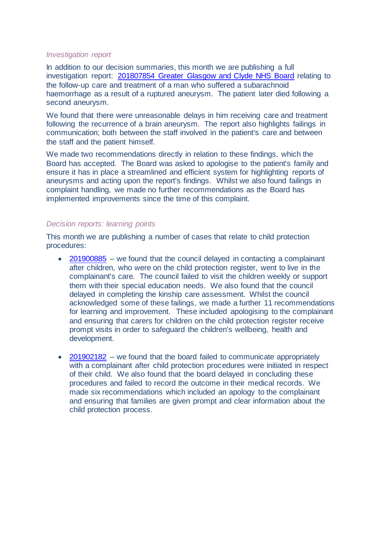### *Investigation report*

In addition to our decision summaries, this month we are publishing a full investigation report: [201807854 Greater Glasgow and Clyde NHS Board](https://www.spso.org.uk/investigation-reports/2020/november/greater-glasgow-and-clyde-nhs-board-acute-services-division) relating to the follow-up care and treatment of a man who suffered a subarachnoid haemorrhage as a result of a ruptured aneurysm. The patient later died following a second aneurysm.

We found that there were unreasonable delays in him receiving care and treatment following the recurrence of a brain aneurysm. The report also highlights failings in communication; both between the staff involved in the patient's care and between the staff and the patient himself.

We made two recommendations directly in relation to these findings, which the Board has accepted. The Board was asked to apologise to the patient's family and ensure it has in place a streamlined and efficient system for highlighting reports of aneurysms and acting upon the report's findings. Whilst we also found failings in complaint handling, we made no further recommendations as the Board has implemented improvements since the time of this complaint.

### *Decision reports: learning points*

This month we are publishing a number of cases that relate to child protection procedures:

- [201900885](https://www.spso.org.uk/decision-reports/2020/november/decision-report-201900885-201900885) we found that the council delayed in contacting a complainant after children, who were on the child protection register, went to live in the complainant's care. The council failed to visit the children weekly or support them with their special education needs. We also found that the council delayed in completing the kinship care assessment. Whilst the council acknowledged some of these failings, we made a further 11 recommendations for learning and improvement. These included apologising to the complainant and ensuring that carers for children on the child protection register receive prompt visits in order to safeguard the children's wellbeing, health and development.
- [201902182](https://www.spso.org.uk/decision-reports/2020/november/decision-report-201902182-201902182) we found that the board failed to communicate appropriately with a complainant after child protection procedures were initiated in respect of their child. We also found that the board delayed in concluding these procedures and failed to record the outcome in their medical records. We made six recommendations which included an apology to the complainant and ensuring that families are given prompt and clear information about the child protection process.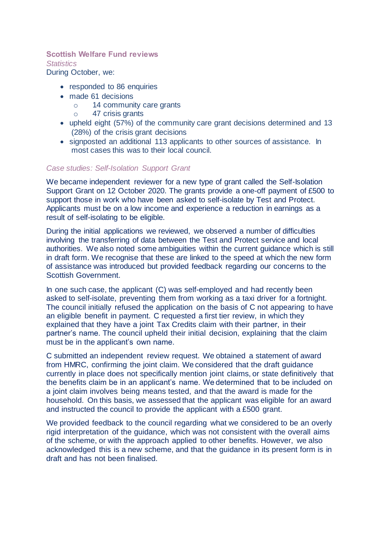### **Scottish Welfare Fund reviews**

*Statistics*

During October, we:

- responded to 86 enquiries
- made 61 decisions
	- o 14 community care grants
	- o 47 crisis grants
- upheld eight (57%) of the community care grant decisions determined and 13 (28%) of the crisis grant decisions
- signposted an additional 113 applicants to other sources of assistance. In most cases this was to their local council.

### *Case studies: Self-Isolation Support Grant*

We became independent reviewer for a new type of grant called the Self-Isolation Support Grant on 12 October 2020. The grants provide a one-off payment of £500 to support those in work who have been asked to self-isolate by Test and Protect. Applicants must be on a low income and experience a reduction in earnings as a result of self-isolating to be eligible.

During the initial applications we reviewed, we observed a number of difficulties involving the transferring of data between the Test and Protect service and local authorities. We also noted some ambiguities within the current guidance which is still in draft form. We recognise that these are linked to the speed at which the new form of assistance was introduced but provided feedback regarding our concerns to the Scottish Government.

In one such case, the applicant (C) was self-employed and had recently been asked to self-isolate, preventing them from working as a taxi driver for a fortnight. The council initially refused the application on the basis of C not appearing to have an eligible benefit in payment. C requested a first tier review, in which they explained that they have a joint Tax Credits claim with their partner, in their partner's name. The council upheld their initial decision, explaining that the claim must be in the applicant's own name.

C submitted an independent review request. We obtained a statement of award from HMRC, confirming the joint claim. We considered that the draft guidance currently in place does not specifically mention joint claims, or state definitively that the benefits claim be in an applicant's name. We determined that to be included on a joint claim involves being means tested, and that the award is made for the household. On this basis, we assessed that the applicant was eligible for an award and instructed the council to provide the applicant with a £500 grant.

We provided feedback to the council regarding what we considered to be an overly rigid interpretation of the guidance, which was not consistent with the overall aims of the scheme, or with the approach applied to other benefits. However, we also acknowledged this is a new scheme, and that the guidance in its present form is in draft and has not been finalised.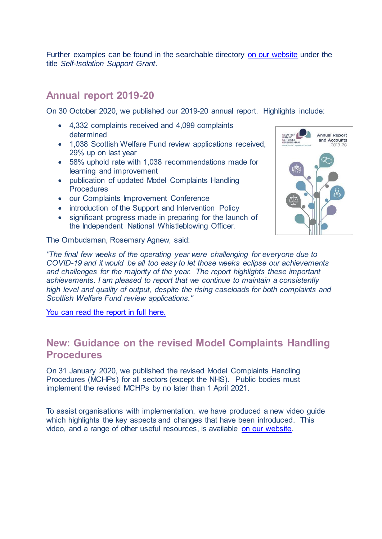Further examples can be found in the searchable directory [on our website](https://www.spso.org.uk/scottishwelfarefund/case-summaries) under the title *Self-Isolation Support Grant*.

### **Annual report 2019-20**

On 30 October 2020, we published our 2019-20 annual report. Highlights include:

- 4,332 complaints received and 4,099 complaints determined
- 1,038 Scottish Welfare Fund review applications received. 29% up on last year
- 58% uphold rate with 1,038 recommendations made for learning and improvement
- publication of updated Model Complaints Handling **Procedures**
- our Complaints Improvement Conference
- introduction of the Support and Intervention Policy
- significant progress made in preparing for the launch of the Independent National Whistleblowing Officer.

**Annual Report** and Accounts 2019-20

The Ombudsman, Rosemary Agnew, said:

*"The final few weeks of the operating year were challenging for everyone due to COVID-19 and it would be all too easy to let those weeks eclipse our achievements and challenges for the majority of the year. The report highlights these important achievements. I am pleased to report that we continue to maintain a consistently high level and quality of output, despite the rising caseloads for both complaints and Scottish Welfare Fund review applications."*

[You can read the report in full here.](https://www.spso.org.uk/annual-report/2019-20.html) 

## **New: Guidance on the revised Model Complaints Handling Procedures**

On 31 January 2020, we published the revised Model Complaints Handling Procedures (MCHPs) for all sectors (except the NHS). Public bodies must implement the revised MCHPs by no later than 1 April 2021.

To assist organisations with implementation, we have produced a new video guide which highlights the key aspects and changes that have been introduced. This video, and a range of other useful resources, is available [on our website.](https://www.spso.org.uk/how-we-offer-support-and-guidance)